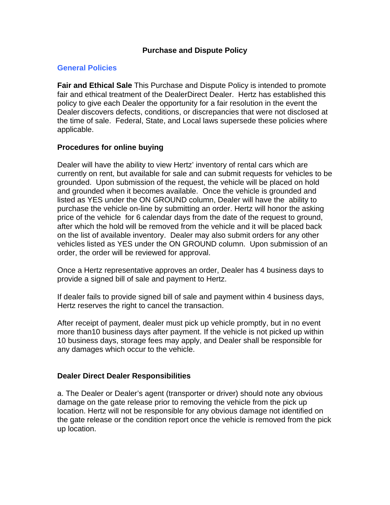## **Purchase and Dispute Policy**

## **General Policies**

**Fair and Ethical Sale** This Purchase and Dispute Policy is intended to promote fair and ethical treatment of the DealerDirect Dealer. Hertz has established this policy to give each Dealer the opportunity for a fair resolution in the event the Dealer discovers defects, conditions, or discrepancies that were not disclosed at the time of sale. Federal, State, and Local laws supersede these policies where applicable.

#### **Procedures for online buying**

Dealer will have the ability to view Hertz' inventory of rental cars which are currently on rent, but available for sale and can submit requests for vehicles to be grounded. Upon submission of the request, the vehicle will be placed on hold and grounded when it becomes available. Once the vehicle is grounded and listed as YES under the ON GROUND column, Dealer will have the ability to purchase the vehicle on-line by submitting an order. Hertz will honor the asking price of the vehicle for 6 calendar days from the date of the request to ground, after which the hold will be removed from the vehicle and it will be placed back on the list of available inventory. Dealer may also submit orders for any other vehicles listed as YES under the ON GROUND column. Upon submission of an order, the order will be reviewed for approval.

Once a Hertz representative approves an order, Dealer has 4 business days to provide a signed bill of sale and payment to Hertz.

If dealer fails to provide signed bill of sale and payment within 4 business days, Hertz reserves the right to cancel the transaction.

After receipt of payment, dealer must pick up vehicle promptly, but in no event more than10 business days after payment. If the vehicle is not picked up within 10 business days, storage fees may apply, and Dealer shall be responsible for any damages which occur to the vehicle.

#### **Dealer Direct Dealer Responsibilities**

a. The Dealer or Dealer's agent (transporter or driver) should note any obvious damage on the gate release prior to removing the vehicle from the pick up location. Hertz will not be responsible for any obvious damage not identified on the gate release or the condition report once the vehicle is removed from the pick up location.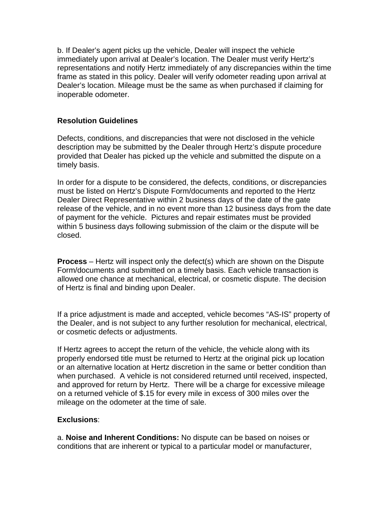b. If Dealer's agent picks up the vehicle, Dealer will inspect the vehicle immediately upon arrival at Dealer's location. The Dealer must verify Hertz's representations and notify Hertz immediately of any discrepancies within the time frame as stated in this policy. Dealer will verify odometer reading upon arrival at Dealer's location. Mileage must be the same as when purchased if claiming for inoperable odometer.

# **Resolution Guidelines**

Defects, conditions, and discrepancies that were not disclosed in the vehicle description may be submitted by the Dealer through Hertz's dispute procedure provided that Dealer has picked up the vehicle and submitted the dispute on a timely basis.

In order for a dispute to be considered, the defects, conditions, or discrepancies must be listed on Hertz's Dispute Form/documents and reported to the Hertz Dealer Direct Representative within 2 business days of the date of the gate release of the vehicle, and in no event more than 12 business days from the date of payment for the vehicle. Pictures and repair estimates must be provided within 5 business days following submission of the claim or the dispute will be closed.

**Process** – Hertz will inspect only the defect(s) which are shown on the Dispute Form/documents and submitted on a timely basis. Each vehicle transaction is allowed one chance at mechanical, electrical, or cosmetic dispute. The decision of Hertz is final and binding upon Dealer.

If a price adjustment is made and accepted, vehicle becomes "AS-IS" property of the Dealer, and is not subject to any further resolution for mechanical, electrical, or cosmetic defects or adjustments.

If Hertz agrees to accept the return of the vehicle, the vehicle along with its properly endorsed title must be returned to Hertz at the original pick up location or an alternative location at Hertz discretion in the same or better condition than when purchased. A vehicle is not considered returned until received, inspected, and approved for return by Hertz. There will be a charge for excessive mileage on a returned vehicle of \$.15 for every mile in excess of 300 miles over the mileage on the odometer at the time of sale.

#### **Exclusions**:

a. **Noise and Inherent Conditions:** No dispute can be based on noises or conditions that are inherent or typical to a particular model or manufacturer,